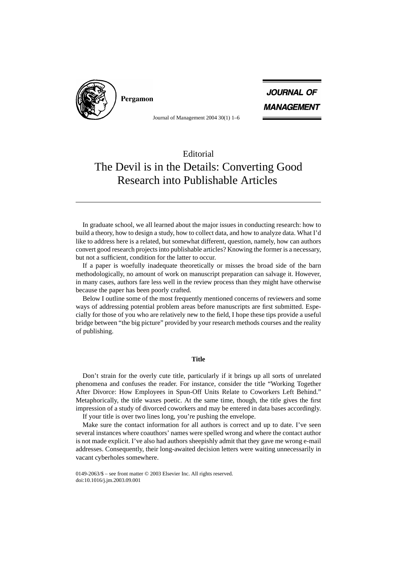

Pergamon

**JOURNAL OF MANAGEMENT** 

Journal of Management 2004 30(1) 1–6

# Editorial The Devil is in the Details: Converting Good Research into Publishable Articles

In graduate school, we all learned about the major issues in conducting research: how to build a theory, how to design a study, how to collect data, and how to analyze data. What I'd like to address here is a related, but somewhat different, question, namely, how can authors convert good research projects into publishable articles? Knowing the former is a necessary, but not a sufficient, condition for the latter to occur.

If a paper is woefully inadequate theoretically or misses the broad side of the barn methodologically, no amount of work on manuscript preparation can salvage it. However, in many cases, authors fare less well in the review process than they might have otherwise because the paper has been poorly crafted.

Below I outline some of the most frequently mentioned concerns of reviewers and some ways of addressing potential problem areas before manuscripts are first submitted. Especially for those of you who are relatively new to the field, I hope these tips provide a useful bridge between "the big picture" provided by your research methods courses and the reality of publishing.

## **Title**

Don't strain for the overly cute title, particularly if it brings up all sorts of unrelated phenomena and confuses the reader. For instance, consider the title "Working Together After Divorce: How Employees in Spun-Off Units Relate to Coworkers Left Behind." Metaphorically, the title waxes poetic. At the same time, though, the title gives the first impression of a study of divorced coworkers and may be entered in data bases accordingly. If your title is over two lines long, you're pushing the envelope.

Make sure the contact information for all authors is correct and up to date. I've seen several instances where coauthors' names were spelled wrong and where the contact author is not made explicit. I've also had authors sheepishly admit that they gave me wrong e-mail addresses. Consequently, their long-awaited decision letters were waiting unnecessarily in vacant cyberholes somewhere.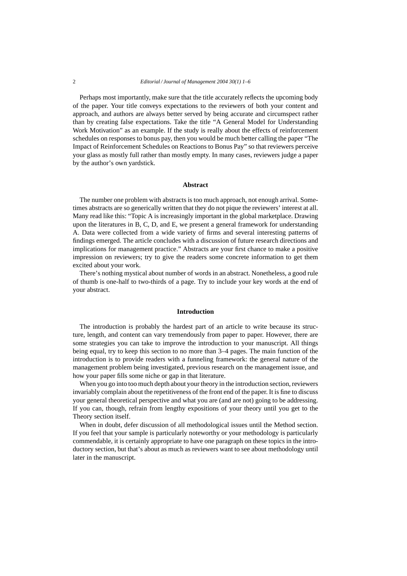Perhaps most importantly, make sure that the title accurately reflects the upcoming body of the paper. Your title conveys expectations to the reviewers of both your content and approach, and authors are always better served by being accurate and circumspect rather than by creating false expectations. Take the title "A General Model for Understanding Work Motivation" as an example. If the study is really about the effects of reinforcement schedules on responses to bonus pay, then you would be much better calling the paper "The Impact of Reinforcement Schedules on Reactions to Bonus Pay" so that reviewers perceive your glass as mostly full rather than mostly empty. In many cases, reviewers judge a paper by the author's own yardstick.

## **Abstract**

The number one problem with abstracts is too much approach, not enough arrival. Sometimes abstracts are so generically written that they do not pique the reviewers' interest at all. Many read like this: "Topic A is increasingly important in the global marketplace. Drawing upon the literatures in B, C, D, and E, we present a general framework for understanding A. Data were collected from a wide variety of firms and several interesting patterns of findings emerged. The article concludes with a discussion of future research directions and implications for management practice." Abstracts are your first chance to make a positive impression on reviewers; try to give the readers some concrete information to get them excited about your work.

There's nothing mystical about number of words in an abstract. Nonetheless, a good rule of thumb is one-half to two-thirds of a page. Try to include your key words at the end of your abstract.

## **Introduction**

The introduction is probably the hardest part of an article to write because its structure, length, and content can vary tremendously from paper to paper. However, there are some strategies you can take to improve the introduction to your manuscript. All things being equal, try to keep this section to no more than 3–4 pages. The main function of the introduction is to provide readers with a funneling framework: the general nature of the management problem being investigated, previous research on the management issue, and how your paper fills some niche or gap in that literature.

When you go into too much depth about your theory in the introduction section, reviewers invariably complain about the repetitiveness of the front end of the paper. It is fine to discuss your general theoretical perspective and what you are (and are not) going to be addressing. If you can, though, refrain from lengthy expositions of your theory until you get to the Theory section itself.

When in doubt, defer discussion of all methodological issues until the Method section. If you feel that your sample is particularly noteworthy or your methodology is particularly commendable, it is certainly appropriate to have one paragraph on these topics in the introductory section, but that's about as much as reviewers want to see about methodology until later in the manuscript.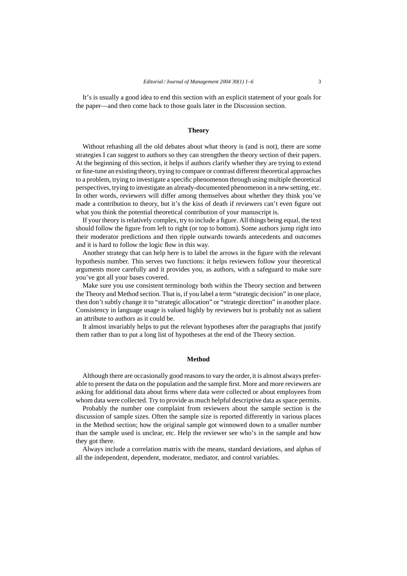It's is usually a good idea to end this section with an explicit statement of your goals for the paper—and then come back to those goals later in the Discussion section.

## **Theory**

Without rehashing all the old debates about what theory is (and is not), there are some strategies I can suggest to authors so they can strengthen the theory section of their papers. At the beginning of this section, it helps if authors clarify whether they are trying to extend or fine-tune an existing theory, trying to compare or contrast different theoretical approaches to a problem, trying to investigate a specific phenomenon through using multiple theoretical perspectives, trying to investigate an already-documented phenomenon in a new setting, etc. In other words, reviewers will differ among themselves about whether they think you've made a contribution to theory, but it's the kiss of death if reviewers can't even figure out what you think the potential theoretical contribution of your manuscript is.

If your theory is relatively complex, try to include a figure. All things being equal, the text should follow the figure from left to right (or top to bottom). Some authors jump right into their moderator predictions and then ripple outwards towards antecedents and outcomes and it is hard to follow the logic flow in this way.

Another strategy that can help here is to label the arrows in the figure with the relevant hypothesis number. This serves two functions: it helps reviewers follow your theoretical arguments more carefully and it provides you, as authors, with a safeguard to make sure you've got all your bases covered.

Make sure you use consistent terminology both within the Theory section and between the Theory and Method section. That is, if you label a term "strategic decision" in one place, then don't subtly change it to "strategic allocation" or "strategic direction" in another place. Consistency in language usage is valued highly by reviewers but is probably not as salient an attribute to authors as it could be.

It almost invariably helps to put the relevant hypotheses after the paragraphs that justify them rather than to put a long list of hypotheses at the end of the Theory section.

#### **Method**

Although there are occasionally good reasons to vary the order, it is almost always preferable to present the data on the population and the sample first. More and more reviewers are asking for additional data about firms where data were collected or about employees from whom data were collected. Try to provide as much helpful descriptive data as space permits.

Probably the number one complaint from reviewers about the sample section is the discussion of sample sizes. Often the sample size is reported differently in various places in the Method section; how the original sample got winnowed down to a smaller number than the sample used is unclear, etc. Help the reviewer see who's in the sample and how they got there.

Always include a correlation matrix with the means, standard deviations, and alphas of all the independent, dependent, moderator, mediator, and control variables.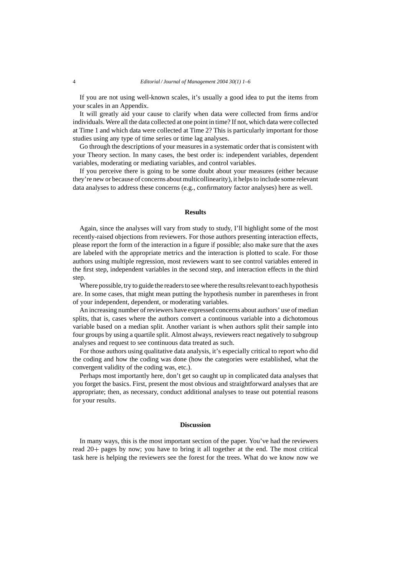If you are not using well-known scales, it's usually a good idea to put the items from your scales in an Appendix.

It will greatly aid your cause to clarify when data were collected from firms and/or individuals. Were all the data collected at one point in time? If not, which data were collected at Time 1 and which data were collected at Time 2? This is particularly important for those studies using any type of time series or time lag analyses.

Go through the descriptions of your measures in a systematic order that is consistent with your Theory section. In many cases, the best order is: independent variables, dependent variables, moderating or mediating variables, and control variables.

If you perceive there is going to be some doubt about your measures (either because they're new or because of concerns about multicollinearity), it helps to include some relevant data analyses to address these concerns (e.g., confirmatory factor analyses) here as well.

## **Results**

Again, since the analyses will vary from study to study, I'll highlight some of the most recently-raised objections from reviewers. For those authors presenting interaction effects, please report the form of the interaction in a figure if possible; also make sure that the axes are labeled with the appropriate metrics and the interaction is plotted to scale. For those authors using multiple regression, most reviewers want to see control variables entered in the first step, independent variables in the second step, and interaction effects in the third step.

Where possible, try to guide the readers to see where the results relevant to each hypothesis are. In some cases, that might mean putting the hypothesis number in parentheses in front of your independent, dependent, or moderating variables.

An increasing number of reviewers have expressed concerns about authors' use of median splits, that is, cases where the authors convert a continuous variable into a dichotomous variable based on a median split. Another variant is when authors split their sample into four groups by using a quartile split. Almost always, reviewers react negatively to subgroup analyses and request to see continuous data treated as such.

For those authors using qualitative data analysis, it's especially critical to report who did the coding and how the coding was done (how the categories were established, what the convergent validity of the coding was, etc.).

Perhaps most importantly here, don't get so caught up in complicated data analyses that you forget the basics. First, present the most obvious and straightforward analyses that are appropriate; then, as necessary, conduct additional analyses to tease out potential reasons for your results.

## **Discussion**

In many ways, this is the most important section of the paper. You've had the reviewers read 20+ pages by now; you have to bring it all together at the end. The most critical task here is helping the reviewers see the forest for the trees. What do we know now we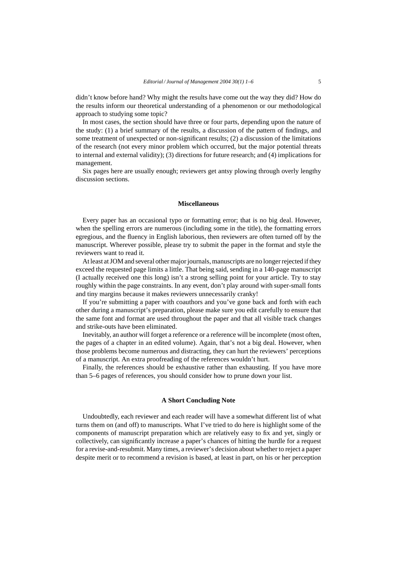didn't know before hand? Why might the results have come out the way they did? How do the results inform our theoretical understanding of a phenomenon or our methodological approach to studying some topic?

In most cases, the section should have three or four parts, depending upon the nature of the study: (1) a brief summary of the results, a discussion of the pattern of findings, and some treatment of unexpected or non-significant results; (2) a discussion of the limitations of the research (not every minor problem which occurred, but the major potential threats to internal and external validity); (3) directions for future research; and (4) implications for management.

Six pages here are usually enough; reviewers get antsy plowing through overly lengthy discussion sections.

## **Miscellaneous**

Every paper has an occasional typo or formatting error; that is no big deal. However, when the spelling errors are numerous (including some in the title), the formatting errors egregious, and the fluency in English laborious, then reviewers are often turned off by the manuscript. Wherever possible, please try to submit the paper in the format and style the reviewers want to read it.

At least at JOM and several other major journals, manuscripts are no longer rejected if they exceed the requested page limits a little. That being said, sending in a 140-page manuscript (I actually received one this long) isn't a strong selling point for your article. Try to stay roughly within the page constraints. In any event, don't play around with super-small fonts and tiny margins because it makes reviewers unnecessarily cranky!

If you're submitting a paper with coauthors and you've gone back and forth with each other during a manuscript's preparation, please make sure you edit carefully to ensure that the same font and format are used throughout the paper and that all visible track changes and strike-outs have been eliminated.

Inevitably, an author will forget a reference or a reference will be incomplete (most often, the pages of a chapter in an edited volume). Again, that's not a big deal. However, when those problems become numerous and distracting, they can hurt the reviewers' perceptions of a manuscript. An extra proofreading of the references wouldn't hurt.

Finally, the references should be exhaustive rather than exhausting. If you have more than 5–6 pages of references, you should consider how to prune down your list.

### **A Short Concluding Note**

Undoubtedly, each reviewer and each reader will have a somewhat different list of what turns them on (and off) to manuscripts. What I've tried to do here is highlight some of the components of manuscript preparation which are relatively easy to fix and yet, singly or collectively, can significantly increase a paper's chances of hitting the hurdle for a request for a revise-and-resubmit. Many times, a reviewer's decision about whether to reject a paper despite merit or to recommend a revision is based, at least in part, on his or her perception